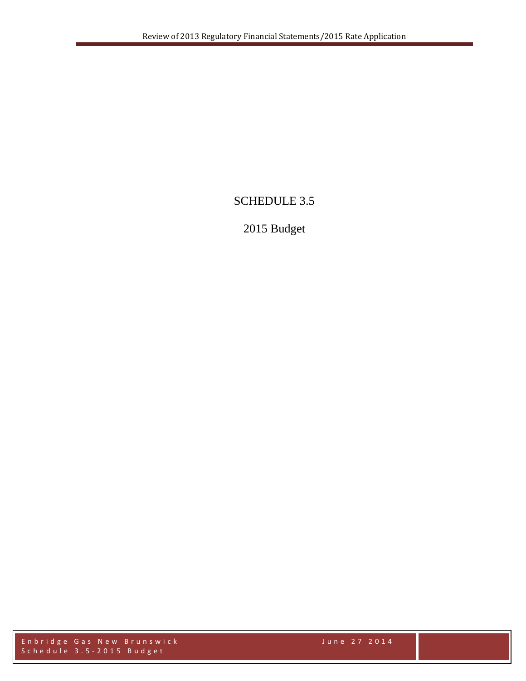# SCHEDULE 3.5

# 2015 Budget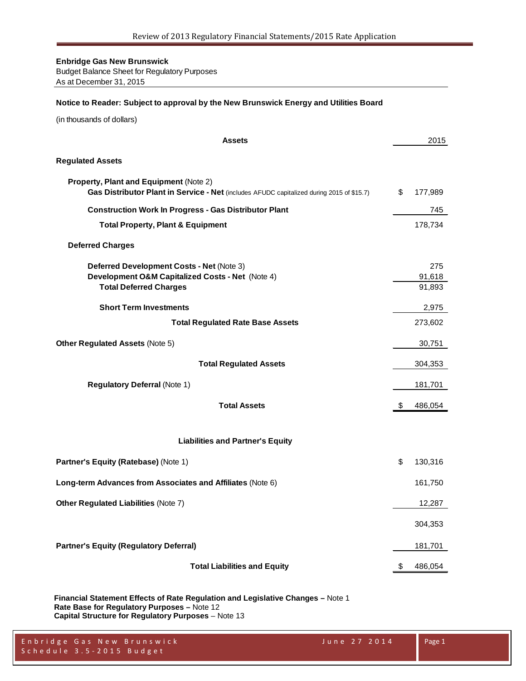Budget Balance Sheet for Regulatory Purposes As at December 31, 2015

#### **Notice to Reader: Subject to approval by the New Brunswick Energy and Utilities Board**

(in thousands of dollars)

| <b>Assets</b>                                                                                                                       | 2015             |
|-------------------------------------------------------------------------------------------------------------------------------------|------------------|
| <b>Regulated Assets</b>                                                                                                             |                  |
| Property, Plant and Equipment (Note 2)<br>Gas Distributor Plant in Service - Net (includes AFUDC capitalized during 2015 of \$15.7) | \$<br>177,989    |
| <b>Construction Work In Progress - Gas Distributor Plant</b>                                                                        | 745              |
| <b>Total Property, Plant &amp; Equipment</b>                                                                                        | 178,734          |
| <b>Deferred Charges</b>                                                                                                             |                  |
| Deferred Development Costs - Net (Note 3)                                                                                           | 275              |
| Development O&M Capitalized Costs - Net (Note 4)<br><b>Total Deferred Charges</b>                                                   | 91,618<br>91,893 |
|                                                                                                                                     |                  |
| <b>Short Term Investments</b>                                                                                                       | 2,975            |
| <b>Total Regulated Rate Base Assets</b>                                                                                             | 273,602          |
| Other Regulated Assets (Note 5)                                                                                                     | 30,751           |
| <b>Total Regulated Assets</b>                                                                                                       | 304,353          |
| <b>Regulatory Deferral (Note 1)</b>                                                                                                 | 181,701          |
| <b>Total Assets</b>                                                                                                                 | \$<br>486,054    |
| <b>Liabilities and Partner's Equity</b>                                                                                             |                  |
|                                                                                                                                     |                  |
| Partner's Equity (Ratebase) (Note 1)                                                                                                | \$<br>130,316    |
| Long-term Advances from Associates and Affiliates (Note 6)                                                                          | 161,750          |
| Other Regulated Liabilities (Note 7)                                                                                                | 12,287           |
|                                                                                                                                     | 304,353          |
| <b>Partner's Equity (Regulatory Deferral)</b>                                                                                       | 181,701          |
| <b>Total Liabilities and Equity</b>                                                                                                 | \$<br>486,054    |

**Financial Statement Effects of Rate Regulation and Legislative Changes –** Note 1 **Rate Base for Regulatory Purposes –** Note 12 **Capital Structure for Regulatory Purposes** – Note 13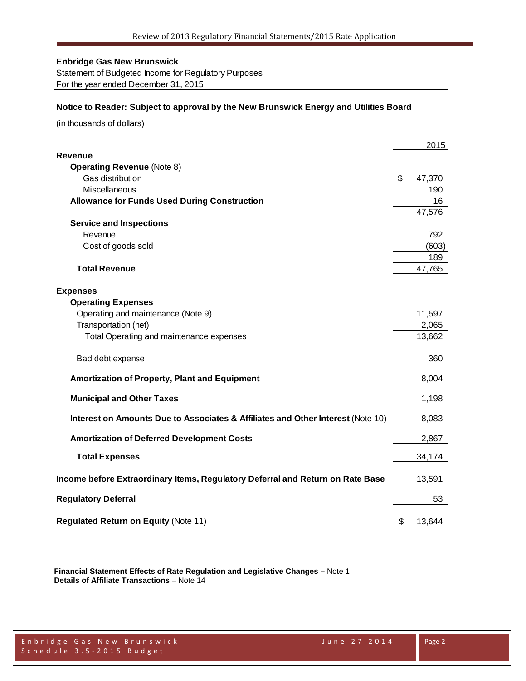Statement of Budgeted Income for Regulatory Purposes For the year ended December 31, 2015

#### **Notice to Reader: Subject to approval by the New Brunswick Energy and Utilities Board**

(in thousands of dollars)

|                                                                                 | 2015         |
|---------------------------------------------------------------------------------|--------------|
| <b>Revenue</b>                                                                  |              |
| <b>Operating Revenue (Note 8)</b>                                               |              |
| Gas distribution                                                                | \$<br>47,370 |
| Miscellaneous                                                                   | 190          |
| <b>Allowance for Funds Used During Construction</b>                             | 16           |
|                                                                                 | 47,576       |
| <b>Service and Inspections</b>                                                  |              |
| Revenue                                                                         | 792          |
| Cost of goods sold                                                              | (603)        |
|                                                                                 | 189          |
| <b>Total Revenue</b>                                                            | 47,765       |
|                                                                                 |              |
| <b>Expenses</b>                                                                 |              |
| <b>Operating Expenses</b>                                                       |              |
| Operating and maintenance (Note 9)                                              | 11,597       |
| Transportation (net)                                                            | 2,065        |
| Total Operating and maintenance expenses                                        | 13,662       |
| Bad debt expense                                                                | 360          |
| Amortization of Property, Plant and Equipment                                   | 8,004        |
| <b>Municipal and Other Taxes</b>                                                | 1,198        |
| Interest on Amounts Due to Associates & Affiliates and Other Interest (Note 10) | 8,083        |
| <b>Amortization of Deferred Development Costs</b>                               | 2,867        |
| <b>Total Expenses</b>                                                           | 34,174       |
| Income before Extraordinary Items, Regulatory Deferral and Return on Rate Base  | 13,591       |
| <b>Regulatory Deferral</b>                                                      | 53           |
| <b>Regulated Return on Equity (Note 11)</b>                                     | \$<br>13,644 |

**Financial Statement Effects of Rate Regulation and Legislative Changes –** Note 1 **Details of Affiliate Transactions** – Note 14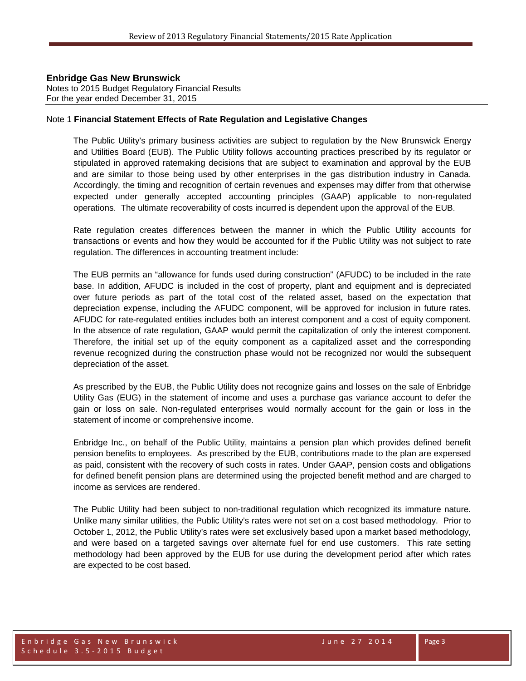Notes to 2015 Budget Regulatory Financial Results For the year ended December 31, 2015

#### Note 1 **Financial Statement Effects of Rate Regulation and Legislative Changes**

The Public Utility's primary business activities are subject to regulation by the New Brunswick Energy and Utilities Board (EUB). The Public Utility follows accounting practices prescribed by its regulator or stipulated in approved ratemaking decisions that are subject to examination and approval by the EUB and are similar to those being used by other enterprises in the gas distribution industry in Canada. Accordingly, the timing and recognition of certain revenues and expenses may differ from that otherwise expected under generally accepted accounting principles (GAAP) applicable to non-regulated operations. The ultimate recoverability of costs incurred is dependent upon the approval of the EUB.

Rate regulation creates differences between the manner in which the Public Utility accounts for transactions or events and how they would be accounted for if the Public Utility was not subject to rate regulation. The differences in accounting treatment include:

The EUB permits an "allowance for funds used during construction" (AFUDC) to be included in the rate base. In addition, AFUDC is included in the cost of property, plant and equipment and is depreciated over future periods as part of the total cost of the related asset, based on the expectation that depreciation expense, including the AFUDC component, will be approved for inclusion in future rates. AFUDC for rate-regulated entities includes both an interest component and a cost of equity component. In the absence of rate regulation, GAAP would permit the capitalization of only the interest component. Therefore, the initial set up of the equity component as a capitalized asset and the corresponding revenue recognized during the construction phase would not be recognized nor would the subsequent depreciation of the asset.

As prescribed by the EUB, the Public Utility does not recognize gains and losses on the sale of Enbridge Utility Gas (EUG) in the statement of income and uses a purchase gas variance account to defer the gain or loss on sale. Non-regulated enterprises would normally account for the gain or loss in the statement of income or comprehensive income.

Enbridge Inc., on behalf of the Public Utility, maintains a pension plan which provides defined benefit pension benefits to employees. As prescribed by the EUB, contributions made to the plan are expensed as paid, consistent with the recovery of such costs in rates. Under GAAP, pension costs and obligations for defined benefit pension plans are determined using the projected benefit method and are charged to income as services are rendered.

The Public Utility had been subject to non-traditional regulation which recognized its immature nature. Unlike many similar utilities, the Public Utility's rates were not set on a cost based methodology. Prior to October 1, 2012, the Public Utility's rates were set exclusively based upon a market based methodology, and were based on a targeted savings over alternate fuel for end use customers. This rate setting methodology had been approved by the EUB for use during the development period after which rates are expected to be cost based.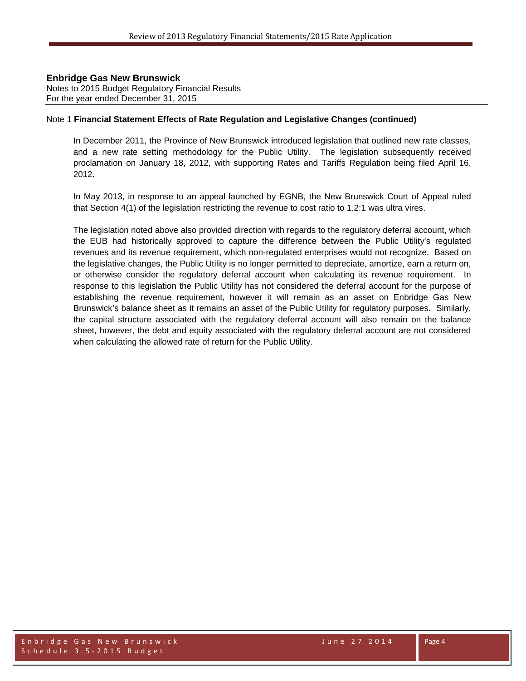Notes to 2015 Budget Regulatory Financial Results For the year ended December 31, 2015

#### Note 1 **Financial Statement Effects of Rate Regulation and Legislative Changes (continued)**

In December 2011, the Province of New Brunswick introduced legislation that outlined new rate classes, and a new rate setting methodology for the Public Utility. The legislation subsequently received proclamation on January 18, 2012, with supporting Rates and Tariffs Regulation being filed April 16, 2012.

In May 2013, in response to an appeal launched by EGNB, the New Brunswick Court of Appeal ruled that Section 4(1) of the legislation restricting the revenue to cost ratio to 1.2:1 was ultra vires.

The legislation noted above also provided direction with regards to the regulatory deferral account, which the EUB had historically approved to capture the difference between the Public Utility's regulated revenues and its revenue requirement, which non-regulated enterprises would not recognize. Based on the legislative changes, the Public Utility is no longer permitted to depreciate, amortize, earn a return on, or otherwise consider the regulatory deferral account when calculating its revenue requirement. In response to this legislation the Public Utility has not considered the deferral account for the purpose of establishing the revenue requirement, however it will remain as an asset on Enbridge Gas New Brunswick's balance sheet as it remains an asset of the Public Utility for regulatory purposes. Similarly, the capital structure associated with the regulatory deferral account will also remain on the balance sheet, however, the debt and equity associated with the regulatory deferral account are not considered when calculating the allowed rate of return for the Public Utility.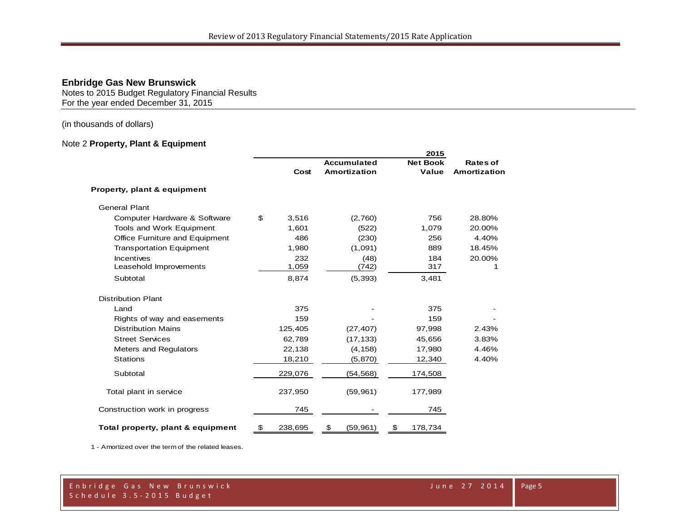Notes to 2015 Budget Regulatory Financial Results For the year ended December 31, 2015

(in thousands of dollars)

#### Note 2 **Property, Plant & Equipment**

|                                   |               |                     | 2015            |                 |
|-----------------------------------|---------------|---------------------|-----------------|-----------------|
|                                   |               | <b>Accumulated</b>  | <b>Net Book</b> | <b>Rates of</b> |
|                                   | Cost          | <b>Amortization</b> | Value           | Amortization    |
| Property, plant & equipment       |               |                     |                 |                 |
| <b>General Plant</b>              |               |                     |                 |                 |
| Computer Hardware & Software      | \$<br>3,516   | (2,760)             | 756             | 28.80%          |
| Tools and Work Equipment          | 1,601         | (522)               | 1,079           | 20.00%          |
| Office Furniture and Equipment    | 486           | (230)               | 256             | 4.40%           |
| <b>Transportation Equipment</b>   | 1,980         | (1,091)             | 889             | 18.45%          |
| Incentives                        | 232           | (48)                | 184             | 20.00%          |
| Leasehold Improvements            | 1,059         | (742)               | 317             |                 |
| Subtotal                          | 8,874         | (5, 393)            | 3,481           |                 |
| <b>Distribution Plant</b>         |               |                     |                 |                 |
| Land                              | 375           |                     | 375             |                 |
| Rights of way and easements       | 159           |                     | 159             |                 |
| <b>Distribution Mains</b>         | 125,405       | (27, 407)           | 97,998          | 2.43%           |
| <b>Street Services</b>            | 62,789        | (17, 133)           | 45,656          | 3.83%           |
| Meters and Regulators             | 22,138        | (4, 158)            | 17,980          | 4.46%           |
| <b>Stations</b>                   | 18,210        | (5, 870)            | 12,340          | 4.40%           |
| Subtotal                          | 229,076       | (54, 568)           | 174,508         |                 |
| Total plant in service            | 237,950       | (59, 961)           | 177,989         |                 |
| Construction work in progress     | 745           |                     | 745             |                 |
| Total property, plant & equipment | \$<br>238,695 | \$<br>(59, 961)     | 178,734<br>\$   |                 |

1 - Amortized over the term of the related leases.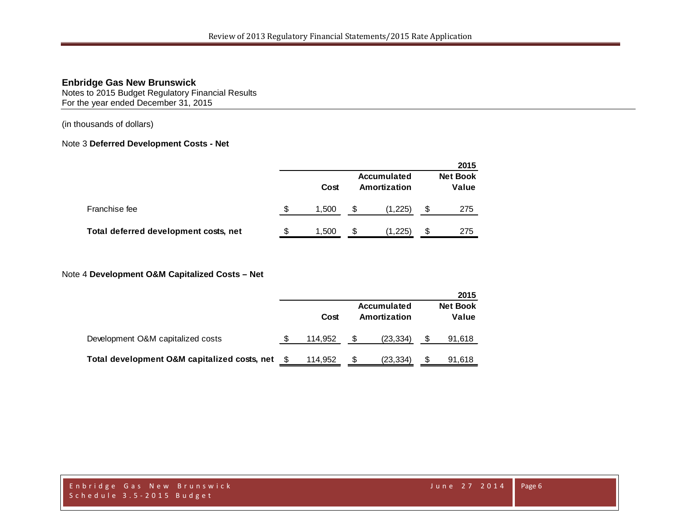Notes to 2015 Budget Regulatory Financial Results For the year ended December 31, 2015

(in thousands of dollars)

### Note 3 **Deferred Development Costs - Net**

|                                       |    |       |     |                             | 2015                     |
|---------------------------------------|----|-------|-----|-----------------------------|--------------------------|
|                                       |    | Cost  |     | Accumulated<br>Amortization | <b>Net Book</b><br>Value |
| Franchise fee                         | \$ | 1.500 |     | (1,225)                     | 275                      |
| Total deferred development costs, net | S  | 1,500 | \$. | (1,225)                     | 275                      |

## Note 4 **Development O&M Capitalized Costs – Net**

|                                              |         |                                    | 2015                     |
|----------------------------------------------|---------|------------------------------------|--------------------------|
|                                              | Cost    | <b>Accumulated</b><br>Amortization | <b>Net Book</b><br>Value |
| Development O&M capitalized costs            | 114.952 | (23, 334)                          | 91,618                   |
| Total development O&M capitalized costs, net | 114,952 | (23, 334)                          | 91,618                   |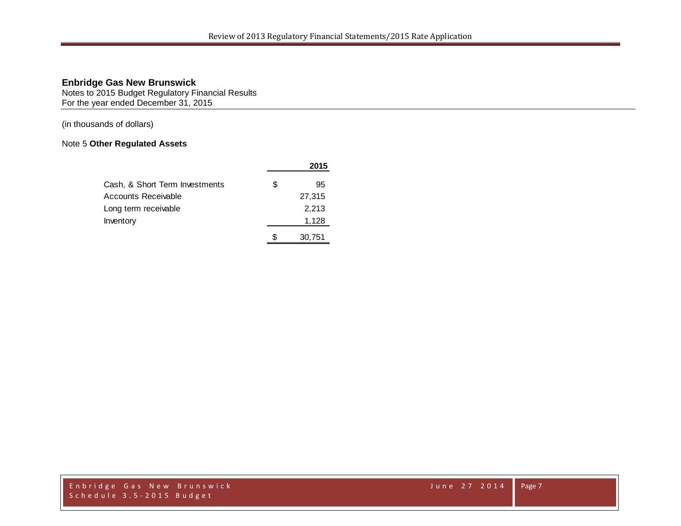Notes to 2015 Budget Regulatory Financial Results For the year ended December 31, 2015

(in thousands of dollars)

## Note 5 **Other Regulated Assets**

|                                |   | 2015   |
|--------------------------------|---|--------|
| Cash, & Short Term Investments | S | 95     |
| Accounts Receivable            |   | 27,315 |
| Long term receivable           |   | 2,213  |
| Inventory                      |   | 1,128  |
|                                |   | 30.751 |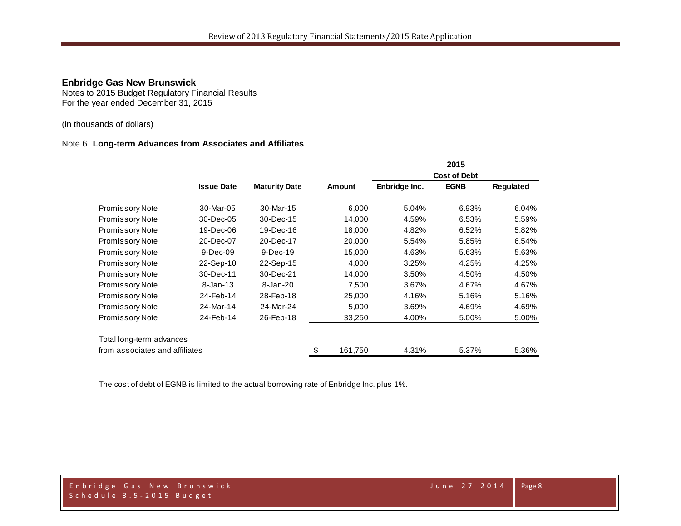Notes to 2015 Budget Regulatory Financial Results For the year ended December 31, 2015

### (in thousands of dollars)

#### Note 6 **Long-term Advances from Associates and Affiliates**

|                                |                   |                      |               |               | 2015                |                  |
|--------------------------------|-------------------|----------------------|---------------|---------------|---------------------|------------------|
|                                |                   |                      |               |               | <b>Cost of Debt</b> |                  |
|                                | <b>Issue Date</b> | <b>Maturity Date</b> | Amount        | Enbridge Inc. | <b>EGNB</b>         | <b>Requlated</b> |
| <b>Promissory Note</b>         | 30-Mar-05         | 30-Mar-15            | 6,000         | 5.04%         | 6.93%               | 6.04%            |
| Promissory Note                | 30-Dec-05         | 30-Dec-15            | 14,000        | 4.59%         | 6.53%               | 5.59%            |
| <b>Promissory Note</b>         | 19-Dec-06         | 19-Dec-16            | 18,000        | 4.82%         | 6.52%               | 5.82%            |
| <b>Promissory Note</b>         | 20-Dec-07         | 20-Dec-17            | 20,000        | 5.54%         | 5.85%               | 6.54%            |
| <b>Promissory Note</b>         | $9-Dec-09$        | $9-Dec-19$           | 15,000        | 4.63%         | 5.63%               | 5.63%            |
| <b>Promissory Note</b>         | 22-Sep-10         | 22-Sep-15            | 4,000         | 3.25%         | 4.25%               | 4.25%            |
| <b>Promissory Note</b>         | 30-Dec-11         | 30-Dec-21            | 14,000        | 3.50%         | 4.50%               | 4.50%            |
| <b>Promissory Note</b>         | $8 - Jan - 13$    | 8-Jan-20             | 7,500         | 3.67%         | 4.67%               | 4.67%            |
| Promissory Note                | 24-Feb-14         | 28-Feb-18            | 25,000        | 4.16%         | 5.16%               | 5.16%            |
| Promissory Note                | 24-Mar-14         | 24-Mar-24            | 5,000         | 3.69%         | 4.69%               | 4.69%            |
| Promissory Note                | 24-Feb-14         | 26-Feb-18            | 33,250        | 4.00%         | 5.00%               | 5.00%            |
| Total long-term advances       |                   |                      |               |               |                     |                  |
| from associates and affiliates |                   |                      | \$<br>161,750 | 4.31%         | 5.37%               | 5.36%            |

The cost of debt of EGNB is limited to the actual borrowing rate of Enbridge Inc. plus 1%.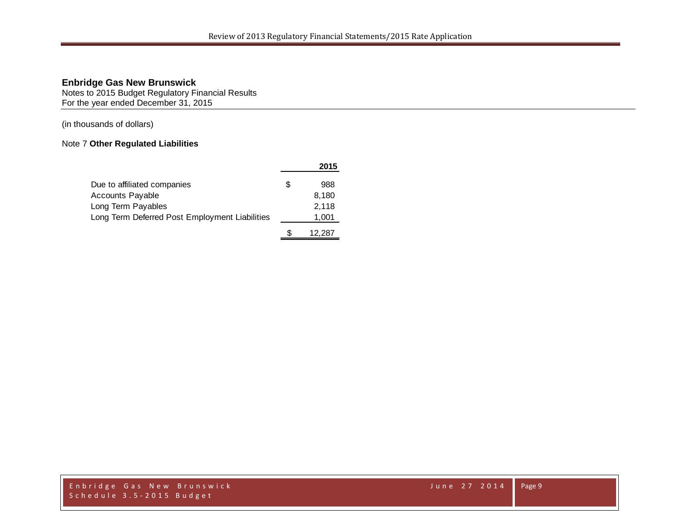Notes to 2015 Budget Regulatory Financial Results For the year ended December 31, 2015

(in thousands of dollars)

## Note 7 **Other Regulated Liabilities**

|                                                |   | 2015   |
|------------------------------------------------|---|--------|
| Due to affiliated companies                    | S | 988    |
| <b>Accounts Payable</b>                        |   | 8,180  |
| Long Term Payables                             |   | 2,118  |
| Long Term Deferred Post Employment Liabilities |   | 1,001  |
|                                                |   | 12,287 |

Enbridge Gas New Brunswick June 27 2014 Schedule 3.5 - 2015 Budget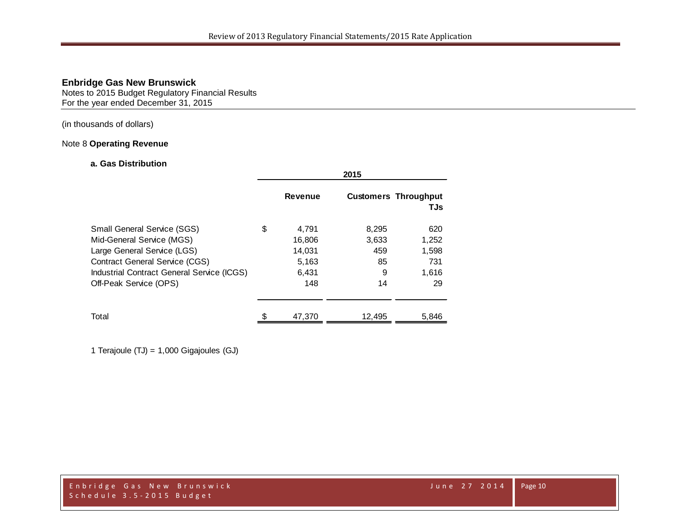Notes to 2015 Budget Regulatory Financial Results For the year ended December 31, 2015

### (in thousands of dollars)

## Note 8 **Operating Revenue**

#### **a. Gas Distribution**

|                                            |    | 2015    |        |                                    |  |
|--------------------------------------------|----|---------|--------|------------------------------------|--|
|                                            |    | Revenue |        | <b>Customers Throughput</b><br>TJs |  |
| <b>Small General Service (SGS)</b>         | \$ | 4,791   | 8,295  | 620                                |  |
| Mid-General Service (MGS)                  |    | 16,806  | 3,633  | 1,252                              |  |
| Large General Service (LGS)                |    | 14,031  | 459    | 1,598                              |  |
| <b>Contract General Service (CGS)</b>      |    | 5,163   | 85     | 731                                |  |
| Industrial Contract General Service (ICGS) |    | 6,431   | 9      | 1,616                              |  |
| Off-Peak Service (OPS)                     |    | 148     | 14     | 29                                 |  |
| Total                                      | ደ  | 47,370  | 12,495 | 5,846                              |  |

1 Terajoule (TJ) = 1,000 Gigajoules (GJ)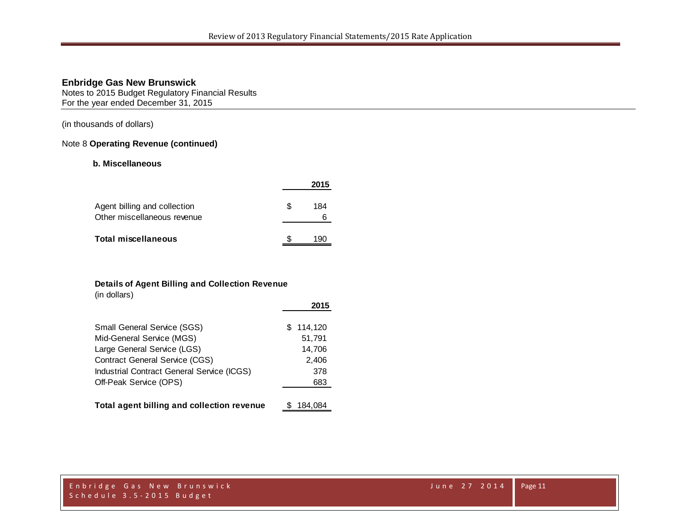Notes to 2015 Budget Regulatory Financial Results For the year ended December 31, 2015

(in thousands of dollars)

#### Note 8 **Operating Revenue (continued)**

#### **b. Miscellaneous**

|                                                             |    | 2015     |
|-------------------------------------------------------------|----|----------|
| Agent billing and collection<br>Other miscellaneous revenue | æ. | 184<br>6 |
| <b>Total miscellaneous</b>                                  |    | 190      |

#### **Details of Agent Billing and Collection Revenue**

(in dollars)

|                                            | 2015      |
|--------------------------------------------|-----------|
| Small General Service (SGS)                | \$114.120 |
| Mid-General Service (MGS)                  | 51,791    |
| Large General Service (LGS)                | 14,706    |
| Contract General Service (CGS)             | 2,406     |
| Industrial Contract General Service (ICGS) | 378       |
| Off-Peak Service (OPS)                     | 683       |
|                                            |           |
| Total agent billing and collection revenue | 184,084   |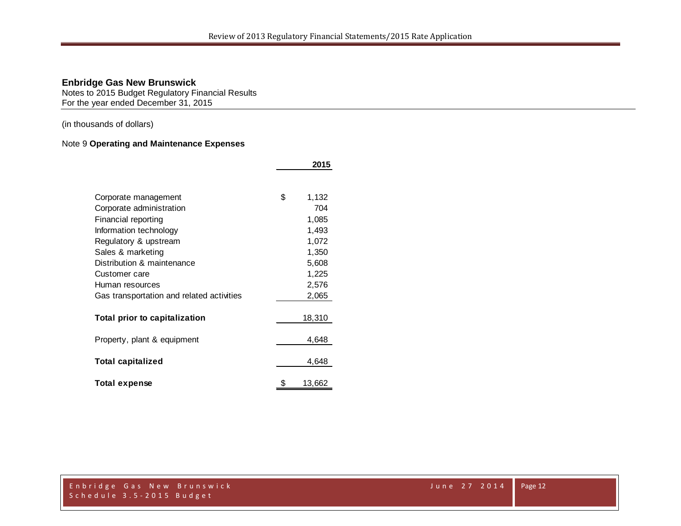Notes to 2015 Budget Regulatory Financial Results For the year ended December 31, 2015

(in thousands of dollars)

## Note 9 **Operating and Maintenance Expenses**

|                                           | 2015 |        |  |
|-------------------------------------------|------|--------|--|
|                                           |      |        |  |
| Corporate management                      | \$   | 1,132  |  |
| Corporate administration                  |      | 704    |  |
| Financial reporting                       |      | 1,085  |  |
| Information technology                    |      | 1,493  |  |
| Regulatory & upstream                     |      | 1,072  |  |
| Sales & marketing                         |      | 1,350  |  |
| Distribution & maintenance                |      | 5,608  |  |
| Customer care                             |      | 1,225  |  |
| Human resources                           |      | 2,576  |  |
| Gas transportation and related activities |      | 2,065  |  |
| Total prior to capitalization             |      | 18,310 |  |
| Property, plant & equipment               |      | 4,648  |  |
| <b>Total capitalized</b>                  |      | 4,648  |  |
| <b>Total expense</b>                      | \$   | 13,662 |  |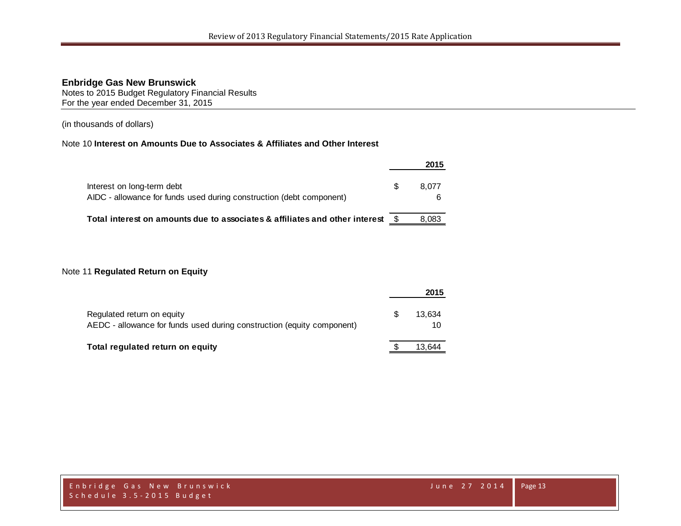Notes to 2015 Budget Regulatory Financial Results For the year ended December 31, 2015

(in thousands of dollars)

## Note 10 **Interest on Amounts Due to Associates & Affiliates and Other Interest**

|                                                                                                    |   | 2015       |
|----------------------------------------------------------------------------------------------------|---|------------|
| Interest on long-term debt<br>AIDC - allowance for funds used during construction (debt component) | S | 8.077<br>6 |
| Total interest on amounts due to associates & affiliates and other interest                        |   | 8.083      |

#### Note 11 **Regulated Return on Equity**

|                                                                                                      |   | 2015         |  |
|------------------------------------------------------------------------------------------------------|---|--------------|--|
| Regulated return on equity<br>AEDC - allowance for funds used during construction (equity component) | S | 13.634<br>10 |  |
| Total regulated return on equity                                                                     |   | 13.644       |  |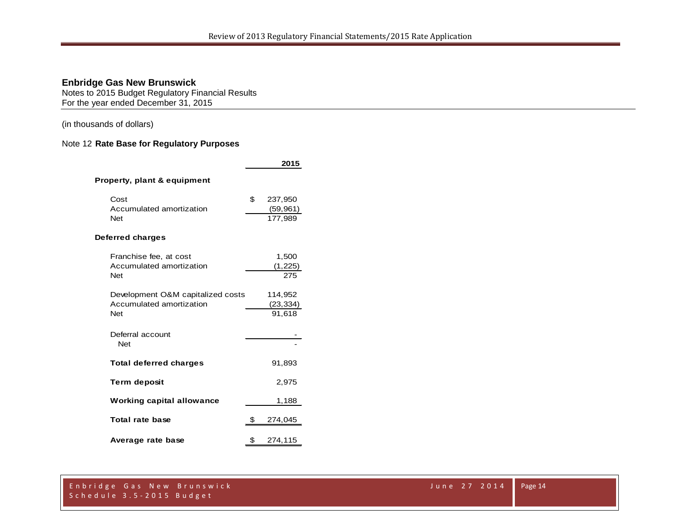Notes to 2015 Budget Regulatory Financial Results For the year ended December 31, 2015

(in thousands of dollars)

## Note 12 **Rate Base for Regulatory Purposes**

|                                                                             | 2015                                  |
|-----------------------------------------------------------------------------|---------------------------------------|
| Property, plant & equipment                                                 |                                       |
| Cost<br>Accumulated amortization<br><b>Net</b>                              | \$<br>237,950<br>(59, 961)<br>177,989 |
| Deferred charges                                                            |                                       |
| Franchise fee, at cost<br>Accumulated amortization<br><b>Net</b>            | 1,500<br>(1,225)<br>275               |
| Development O&M capitalized costs<br>Accumulated amortization<br><b>Net</b> | 114,952<br>(23, 334)<br>91,618        |
| Deferral account<br><b>Net</b>                                              |                                       |
| <b>Total deferred charges</b>                                               | 91,893                                |
| <b>Term deposit</b>                                                         | 2,975                                 |
| <b>Working capital allowance</b>                                            | 1,188                                 |
| Total rate base                                                             | \$<br>274,045                         |
| Average rate base                                                           | \$<br>274,115                         |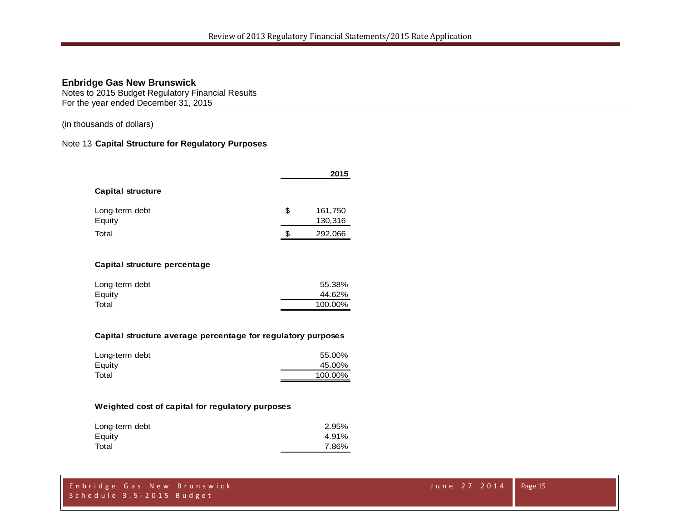Notes to 2015 Budget Regulatory Financial Results For the year ended December 31, 2015

(in thousands of dollars)

#### Note 13 **Capital Structure for Regulatory Purposes**

|                          |    | 2015    |
|--------------------------|----|---------|
| <b>Capital structure</b> |    |         |
| Long-term debt           | \$ | 161,750 |
| Equity                   |    | 130,316 |
| Total                    | S  | 292,066 |

#### **Capital structure percentage**

| Long-term debt | 55.38%  |
|----------------|---------|
| Equity         | 44.62%  |
| Total          | 100.00% |
|                |         |

#### **Capital structure average percentage for regulatory purposes**

| Long-term debt | 55.00%  |
|----------------|---------|
| Equity         | 45.00%  |
| Total          | 100.00% |

#### **Weighted cost of capital for regulatory purposes**

| Long-term debt | 2.95% |
|----------------|-------|
| Equity         | 4.91% |
| Total          | 7.86% |